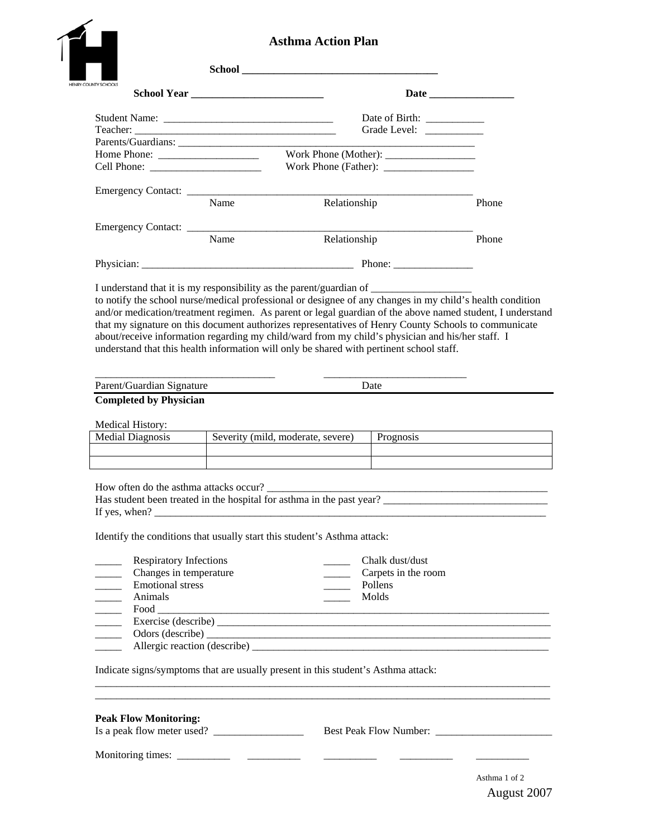| <b>School Yea</b> |
|-------------------|
|                   |

# **Asthma Action Plan**

| <b>UNTY SCHOOLS</b>                                             |      |                                                                                                                                                                                                                                                                                                                                                                                                                   |           |       |  |
|-----------------------------------------------------------------|------|-------------------------------------------------------------------------------------------------------------------------------------------------------------------------------------------------------------------------------------------------------------------------------------------------------------------------------------------------------------------------------------------------------------------|-----------|-------|--|
|                                                                 |      |                                                                                                                                                                                                                                                                                                                                                                                                                   |           |       |  |
|                                                                 |      |                                                                                                                                                                                                                                                                                                                                                                                                                   |           |       |  |
| Home Phone:                                                     |      |                                                                                                                                                                                                                                                                                                                                                                                                                   |           |       |  |
|                                                                 |      |                                                                                                                                                                                                                                                                                                                                                                                                                   |           |       |  |
|                                                                 | Name | Relationship                                                                                                                                                                                                                                                                                                                                                                                                      |           | Phone |  |
|                                                                 |      |                                                                                                                                                                                                                                                                                                                                                                                                                   |           |       |  |
|                                                                 | Name | Relationship                                                                                                                                                                                                                                                                                                                                                                                                      |           | Phone |  |
|                                                                 |      |                                                                                                                                                                                                                                                                                                                                                                                                                   |           |       |  |
|                                                                 |      | and/or medication/treatment regimen. As parent or legal guardian of the above named student, I understand<br>that my signature on this document authorizes representatives of Henry County Schools to communicate<br>about/receive information regarding my child/ward from my child's physician and his/her staff. I<br>understand that this health information will only be shared with pertinent school staff. |           |       |  |
| Parent/Guardian Signature                                       |      |                                                                                                                                                                                                                                                                                                                                                                                                                   | Date      |       |  |
| <b>Completed by Physician</b>                                   |      |                                                                                                                                                                                                                                                                                                                                                                                                                   |           |       |  |
| <b>Medical History:</b>                                         |      |                                                                                                                                                                                                                                                                                                                                                                                                                   |           |       |  |
| <b>Medial Diagnosis</b>                                         |      | Severity (mild, moderate, severe)                                                                                                                                                                                                                                                                                                                                                                                 | Prognosis |       |  |
|                                                                 |      |                                                                                                                                                                                                                                                                                                                                                                                                                   |           |       |  |
| How often do the asthma attacks occur?<br>If yes, when?         |      |                                                                                                                                                                                                                                                                                                                                                                                                                   |           |       |  |
|                                                                 |      | Identify the conditions that usually start this student's Asthma attack:                                                                                                                                                                                                                                                                                                                                          |           |       |  |
| <b>Respiratory Infections</b><br>Chalk dust/dust                |      |                                                                                                                                                                                                                                                                                                                                                                                                                   |           |       |  |
| Changes in temperature<br>$\overline{\phantom{a}}$              |      |                                                                                                                                                                                                                                                                                                                                                                                                                   |           |       |  |
| <b>Emotional stress</b><br>$\overline{\phantom{a}}$             |      |                                                                                                                                                                                                                                                                                                                                                                                                                   | Pollens   |       |  |
| Animals<br>$\overline{\phantom{a}}$<br>$\overline{\phantom{a}}$ |      |                                                                                                                                                                                                                                                                                                                                                                                                                   | Molds     |       |  |
| $\frac{1}{\sqrt{1-\frac{1}{2}}\left(1-\frac{1}{2}\right)}$      |      |                                                                                                                                                                                                                                                                                                                                                                                                                   |           |       |  |
|                                                                 |      |                                                                                                                                                                                                                                                                                                                                                                                                                   |           |       |  |
| $\overline{\phantom{a}}$                                        |      |                                                                                                                                                                                                                                                                                                                                                                                                                   |           |       |  |
|                                                                 |      | Indicate signs/symptoms that are usually present in this student's Asthma attack:                                                                                                                                                                                                                                                                                                                                 |           |       |  |
| <b>Peak Flow Monitoring:</b>                                    |      |                                                                                                                                                                                                                                                                                                                                                                                                                   |           |       |  |
|                                                                 |      |                                                                                                                                                                                                                                                                                                                                                                                                                   |           |       |  |

August 2007 Asthma 1 of 2